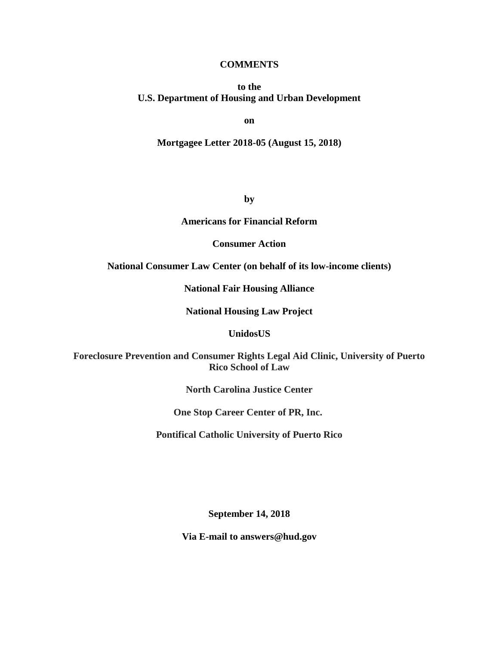### **COMMENTS**

### **to the U.S. Department of Housing and Urban Development**

**on**

#### **Mortgagee Letter 2018-05 (August 15, 2018)**

**by**

#### **Americans for Financial Reform**

### **Consumer Action**

### **National Consumer Law Center (on behalf of its low-income clients)**

**National Fair Housing Alliance**

### **National Housing Law Project**

#### **UnidosUS**

**Foreclosure Prevention and Consumer Rights Legal Aid Clinic, University of Puerto Rico School of Law**

**North Carolina Justice Center**

**One Stop Career Center of PR, Inc.**

**Pontifical Catholic University of Puerto Rico**

**September 14, 2018**

**Via E-mail to answers@hud.gov**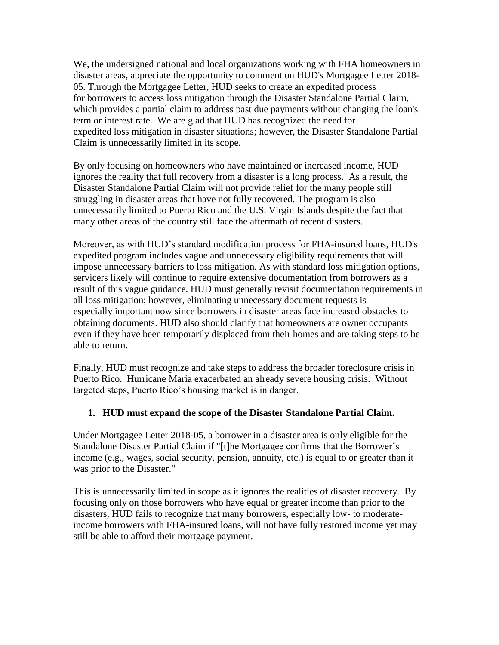We, the undersigned national and local organizations working with FHA homeowners in disaster areas, appreciate the opportunity to comment on HUD's Mortgagee Letter 2018- 05. Through the Mortgagee Letter, HUD seeks to create an expedited process for borrowers to access loss mitigation through the Disaster Standalone Partial Claim, which provides a partial claim to address past due payments without changing the loan's term or interest rate. We are glad that HUD has recognized the need for expedited loss mitigation in disaster situations; however, the Disaster Standalone Partial Claim is unnecessarily limited in its scope.

By only focusing on homeowners who have maintained or increased income, HUD ignores the reality that full recovery from a disaster is a long process. As a result, the Disaster Standalone Partial Claim will not provide relief for the many people still struggling in disaster areas that have not fully recovered. The program is also unnecessarily limited to Puerto Rico and the U.S. Virgin Islands despite the fact that many other areas of the country still face the aftermath of recent disasters.

Moreover, as with HUD's standard modification process for FHA-insured loans, HUD's expedited program includes vague and unnecessary eligibility requirements that will impose unnecessary barriers to loss mitigation. As with standard loss mitigation options, servicers likely will continue to require extensive documentation from borrowers as a result of this vague guidance. HUD must generally revisit documentation requirements in all loss mitigation; however, eliminating unnecessary document requests is especially important now since borrowers in disaster areas face increased obstacles to obtaining documents. HUD also should clarify that homeowners are owner occupants even if they have been temporarily displaced from their homes and are taking steps to be able to return.

Finally, HUD must recognize and take steps to address the broader foreclosure crisis in Puerto Rico. Hurricane Maria exacerbated an already severe housing crisis. Without targeted steps, Puerto Rico's housing market is in danger.

## **1. HUD must expand the scope of the Disaster Standalone Partial Claim.**

Under Mortgagee Letter 2018-05, a borrower in a disaster area is only eligible for the Standalone Disaster Partial Claim if "[t]he Mortgagee confirms that the Borrower's income (e.g., wages, social security, pension, annuity, etc.) is equal to or greater than it was prior to the Disaster."

This is unnecessarily limited in scope as it ignores the realities of disaster recovery. By focusing only on those borrowers who have equal or greater income than prior to the disasters, HUD fails to recognize that many borrowers, especially low- to moderateincome borrowers with FHA-insured loans, will not have fully restored income yet may still be able to afford their mortgage payment.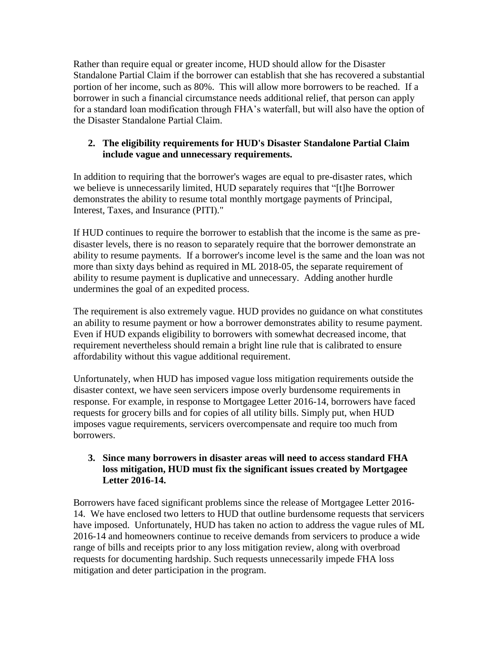Rather than require equal or greater income, HUD should allow for the Disaster Standalone Partial Claim if the borrower can establish that she has recovered a substantial portion of her income, such as 80%. This will allow more borrowers to be reached. If a borrower in such a financial circumstance needs additional relief, that person can apply for a standard loan modification through FHA's waterfall, but will also have the option of the Disaster Standalone Partial Claim.

# **2. The eligibility requirements for HUD's Disaster Standalone Partial Claim include vague and unnecessary requirements.**

In addition to requiring that the borrower's wages are equal to pre-disaster rates, which we believe is unnecessarily limited, HUD separately requires that "[t]he Borrower demonstrates the ability to resume total monthly mortgage payments of Principal, Interest, Taxes, and Insurance (PITI)."

If HUD continues to require the borrower to establish that the income is the same as predisaster levels, there is no reason to separately require that the borrower demonstrate an ability to resume payments. If a borrower's income level is the same and the loan was not more than sixty days behind as required in ML 2018-05, the separate requirement of ability to resume payment is duplicative and unnecessary. Adding another hurdle undermines the goal of an expedited process.

The requirement is also extremely vague. HUD provides no guidance on what constitutes an ability to resume payment or how a borrower demonstrates ability to resume payment. Even if HUD expands eligibility to borrowers with somewhat decreased income, that requirement nevertheless should remain a bright line rule that is calibrated to ensure affordability without this vague additional requirement.

Unfortunately, when HUD has imposed vague loss mitigation requirements outside the disaster context, we have seen servicers impose overly burdensome requirements in response. For example, in response to Mortgagee Letter 2016-14, borrowers have faced requests for grocery bills and for copies of all utility bills. Simply put, when HUD imposes vague requirements, servicers overcompensate and require too much from borrowers.

# **3. Since many borrowers in disaster areas will need to access standard FHA loss mitigation, HUD must fix the significant issues created by Mortgagee Letter 2016-14.**

Borrowers have faced significant problems since the release of Mortgagee Letter 2016- 14. We have enclosed two letters to HUD that outline burdensome requests that servicers have imposed. Unfortunately, HUD has taken no action to address the vague rules of ML 2016-14 and homeowners continue to receive demands from servicers to produce a wide range of bills and receipts prior to any loss mitigation review, along with overbroad requests for documenting hardship. Such requests unnecessarily impede FHA loss mitigation and deter participation in the program.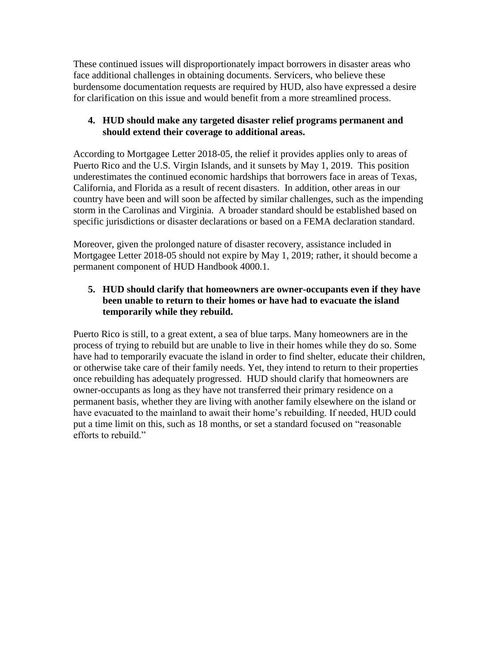These continued issues will disproportionately impact borrowers in disaster areas who face additional challenges in obtaining documents. Servicers, who believe these burdensome documentation requests are required by HUD, also have expressed a desire for clarification on this issue and would benefit from a more streamlined process.

## **4. HUD should make any targeted disaster relief programs permanent and should extend their coverage to additional areas.**

According to Mortgagee Letter 2018-05, the relief it provides applies only to areas of Puerto Rico and the U.S. Virgin Islands, and it sunsets by May 1, 2019. This position underestimates the continued economic hardships that borrowers face in areas of Texas, California, and Florida as a result of recent disasters. In addition, other areas in our country have been and will soon be affected by similar challenges, such as the impending storm in the Carolinas and Virginia. A broader standard should be established based on specific jurisdictions or disaster declarations or based on a FEMA declaration standard.

Moreover, given the prolonged nature of disaster recovery, assistance included in Mortgagee Letter 2018-05 should not expire by May 1, 2019; rather, it should become a permanent component of HUD Handbook 4000.1.

# **5. HUD should clarify that homeowners are owner-occupants even if they have been unable to return to their homes or have had to evacuate the island temporarily while they rebuild.**

Puerto Rico is still, to a great extent, a sea of blue tarps. Many homeowners are in the process of trying to rebuild but are unable to live in their homes while they do so. Some have had to temporarily evacuate the island in order to find shelter, educate their children, or otherwise take care of their family needs. Yet, they intend to return to their properties once rebuilding has adequately progressed. HUD should clarify that homeowners are owner-occupants as long as they have not transferred their primary residence on a permanent basis, whether they are living with another family elsewhere on the island or have evacuated to the mainland to await their home's rebuilding. If needed, HUD could put a time limit on this, such as 18 months, or set a standard focused on "reasonable efforts to rebuild."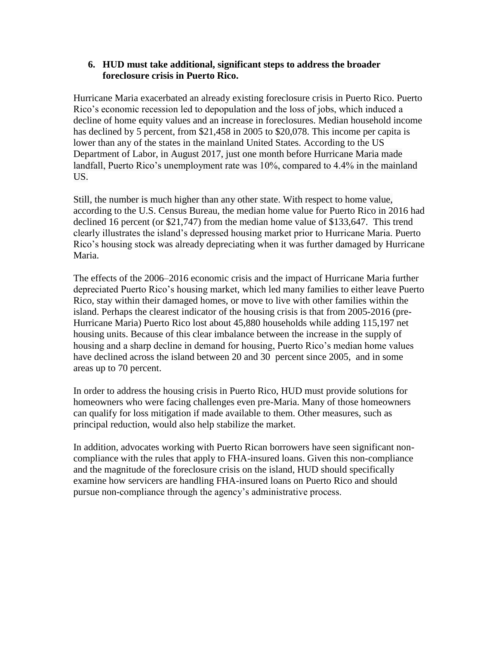### **6. HUD must take additional, significant steps to address the broader foreclosure crisis in Puerto Rico.**

Hurricane Maria exacerbated an already existing foreclosure crisis in Puerto Rico. Puerto Rico's economic recession led to depopulation and the loss of jobs, which induced a decline of home equity values and an increase in foreclosures. Median household income has declined by 5 percent, from \$21,458 in 2005 to \$20,078. This income per capita is lower than any of the states in the mainland United States. According to the US Department of Labor, in August 2017, just one month before Hurricane Maria made landfall, Puerto Rico's unemployment rate was 10%, compared to 4.4% in the mainland US.

Still, the number is much higher than any other state. With respect to home value, according to the U.S. Census Bureau, the median home value for Puerto Rico in 2016 had declined 16 percent (or \$21,747) from the median home value of \$133,647. This trend clearly illustrates the island's depressed housing market prior to Hurricane Maria. Puerto Rico's housing stock was already depreciating when it was further damaged by Hurricane Maria.

The effects of the 2006–2016 economic crisis and the impact of Hurricane Maria further depreciated Puerto Rico's housing market, which led many families to either leave Puerto Rico, stay within their damaged homes, or move to live with other families within the island. Perhaps the clearest indicator of the housing crisis is that from 2005-2016 (pre-Hurricane Maria) Puerto Rico lost about 45,880 households while adding 115,197 net housing units. Because of this clear imbalance between the increase in the supply of housing and a sharp decline in demand for housing, Puerto Rico's median home values have declined across the island between 20 and 30 percent since 2005, and in some areas up to 70 percent.

In order to address the housing crisis in Puerto Rico, HUD must provide solutions for homeowners who were facing challenges even pre-Maria. Many of those homeowners can qualify for loss mitigation if made available to them. Other measures, such as principal reduction, would also help stabilize the market.

In addition, advocates working with Puerto Rican borrowers have seen significant noncompliance with the rules that apply to FHA-insured loans. Given this non-compliance and the magnitude of the foreclosure crisis on the island, HUD should specifically examine how servicers are handling FHA-insured loans on Puerto Rico and should pursue non-compliance through the agency's administrative process.